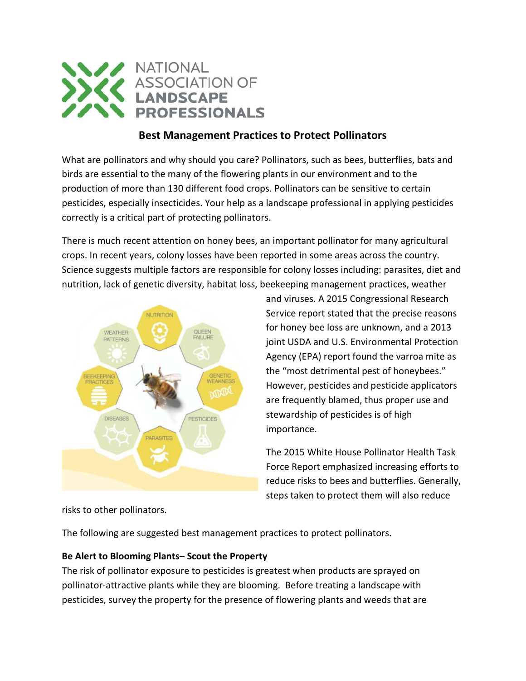

# **Best Management Practices to Protect Pollinators**

What are pollinators and why should you care? Pollinators, such as bees, butterflies, bats and birds are essential to the many of the flowering plants in our environment and to the production of more than 130 different food crops. Pollinators can be sensitive to certain pesticides, especially insecticides. Your help as a landscape professional in applying pesticides correctly is a critical part of protecting pollinators.

There is much recent attention on honey bees, an important pollinator for many agricultural crops. In recent years, colony losses have been reported in some areas across the country. Science suggests multiple factors are responsible for colony losses including: parasites, diet and nutrition, lack of genetic diversity, habitat loss, beekeeping management practices, weather



and viruses. A 2015 Congressional Research Service report stated that the precise reasons for honey bee loss are unknown, and a 2013 joint USDA and U.S. Environmental Protection Agency (EPA) report found the varroa mite as the "most detrimental pest of honeybees." However, pesticides and pesticide applicators are frequently blamed, thus proper use and stewardship of pesticides is of high importance.

The 2015 White House Pollinator Health Task Force Report emphasized increasing efforts to reduce risks to bees and butterflies. Generally, steps taken to protect them will also reduce

risks to other pollinators.

The following are suggested best management practices to protect pollinators.

#### **Be Alert to Blooming Plants– Scout the Property**

The risk of pollinator exposure to pesticides is greatest when products are sprayed on pollinator-attractive plants while they are blooming. Before treating a landscape with pesticides, survey the property for the presence of flowering plants and weeds that are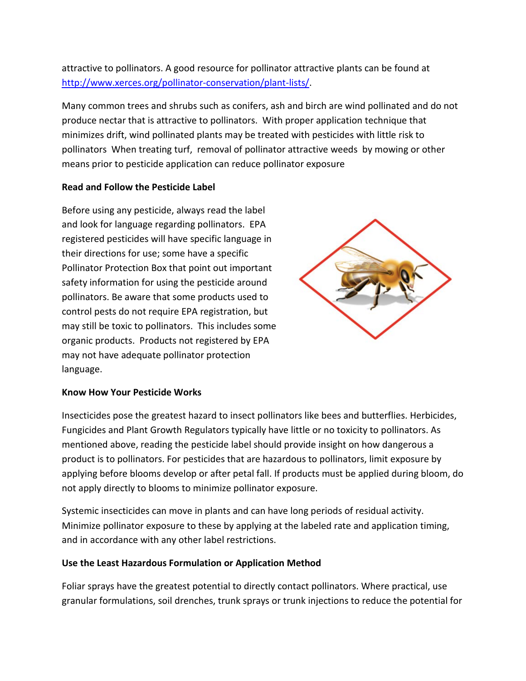attractive to pollinators. A good resource for pollinator attractive plants can be found at [http://www.xerces.org/pollinator-conservation/plant-lists/.](http://www.xerces.org/pollinator-conservation/plant-lists/)

Many common trees and shrubs such as conifers, ash and birch are wind pollinated and do not produce nectar that is attractive to pollinators. With proper application technique that minimizes drift, wind pollinated plants may be treated with pesticides with little risk to pollinators When treating turf, removal of pollinator attractive weeds by mowing or other means prior to pesticide application can reduce pollinator exposure

### **Read and Follow the Pesticide Label**

Before using any pesticide, always read the label and look for language regarding pollinators. EPA registered pesticides will have specific language in their directions for use; some have a specific Pollinator Protection Box that point out important safety information for using the pesticide around pollinators. Be aware that some products used to control pests do not require EPA registration, but may still be toxic to pollinators. This includes some organic products. Products not registered by EPA may not have adequate pollinator protection language.



#### **Know How Your Pesticide Works**

Insecticides pose the greatest hazard to insect pollinators like bees and butterflies. Herbicides, Fungicides and Plant Growth Regulators typically have little or no toxicity to pollinators. As mentioned above, reading the pesticide label should provide insight on how dangerous a product is to pollinators. For pesticides that are hazardous to pollinators, limit exposure by applying before blooms develop or after petal fall. If products must be applied during bloom, do not apply directly to blooms to minimize pollinator exposure.

Systemic insecticides can move in plants and can have long periods of residual activity. Minimize pollinator exposure to these by applying at the labeled rate and application timing, and in accordance with any other label restrictions.

#### **Use the Least Hazardous Formulation or Application Method**

Foliar sprays have the greatest potential to directly contact pollinators. Where practical, use granular formulations, soil drenches, trunk sprays or trunk injections to reduce the potential for